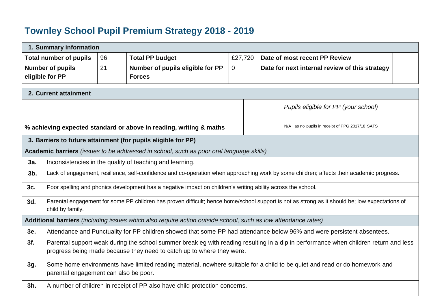## **Townley School Pupil Premium Strategy 2018 - 2019**

| 1. Summary information                                                                                    |                                                                                                                                                                                                               |    |                                                                                                               |                |                                                                                                                                                |  |  |  |  |
|-----------------------------------------------------------------------------------------------------------|---------------------------------------------------------------------------------------------------------------------------------------------------------------------------------------------------------------|----|---------------------------------------------------------------------------------------------------------------|----------------|------------------------------------------------------------------------------------------------------------------------------------------------|--|--|--|--|
| <b>Total number of pupils</b><br>96<br><b>Total PP budget</b><br>£27,720<br>Date of most recent PP Review |                                                                                                                                                                                                               |    |                                                                                                               |                |                                                                                                                                                |  |  |  |  |
|                                                                                                           | <b>Number of pupils</b>                                                                                                                                                                                       | 21 | Number of pupils eligible for PP                                                                              | $\overline{0}$ | Date for next internal review of this strategy                                                                                                 |  |  |  |  |
|                                                                                                           | eligible for PP                                                                                                                                                                                               |    | <b>Forces</b>                                                                                                 |                |                                                                                                                                                |  |  |  |  |
|                                                                                                           | 2. Current attainment                                                                                                                                                                                         |    |                                                                                                               |                |                                                                                                                                                |  |  |  |  |
|                                                                                                           |                                                                                                                                                                                                               |    |                                                                                                               |                |                                                                                                                                                |  |  |  |  |
|                                                                                                           | Pupils eligible for PP (your school)                                                                                                                                                                          |    |                                                                                                               |                |                                                                                                                                                |  |  |  |  |
|                                                                                                           |                                                                                                                                                                                                               |    |                                                                                                               |                |                                                                                                                                                |  |  |  |  |
|                                                                                                           |                                                                                                                                                                                                               |    | % achieving expected standard or above in reading, writing & maths                                            |                | N/A as no pupils in receipt of PPG 2017/18 SATS                                                                                                |  |  |  |  |
|                                                                                                           |                                                                                                                                                                                                               |    | 3. Barriers to future attainment (for pupils eligible for PP)                                                 |                |                                                                                                                                                |  |  |  |  |
|                                                                                                           |                                                                                                                                                                                                               |    | Academic barriers (issues to be addressed in school, such as poor oral language skills)                       |                |                                                                                                                                                |  |  |  |  |
| 3a.                                                                                                       |                                                                                                                                                                                                               |    | Inconsistencies in the quality of teaching and learning.                                                      |                |                                                                                                                                                |  |  |  |  |
| $3b$ .                                                                                                    |                                                                                                                                                                                                               |    |                                                                                                               |                | Lack of engagement, resilience, self-confidence and co-operation when approaching work by some children; affects their academic progress.      |  |  |  |  |
| 3c.                                                                                                       |                                                                                                                                                                                                               |    | Poor spelling and phonics development has a negative impact on children's writing ability across the school.  |                |                                                                                                                                                |  |  |  |  |
| 3d.                                                                                                       | child by family.                                                                                                                                                                                              |    |                                                                                                               |                | Parental engagement for some PP children has proven difficult; hence home/school support is not as strong as it should be; low expectations of |  |  |  |  |
|                                                                                                           |                                                                                                                                                                                                               |    | Additional barriers (including issues which also require action outside school, such as low attendance rates) |                |                                                                                                                                                |  |  |  |  |
| 3e.                                                                                                       |                                                                                                                                                                                                               |    |                                                                                                               |                | Attendance and Punctuality for PP children showed that some PP had attendance below 96% and were persistent absentees.                         |  |  |  |  |
| 3f.                                                                                                       | Parental support weak during the school summer break eg with reading resulting in a dip in performance when children return and less<br>progress being made because they need to catch up to where they were. |    |                                                                                                               |                |                                                                                                                                                |  |  |  |  |
| 3g.                                                                                                       | parental engagement can also be poor.                                                                                                                                                                         |    |                                                                                                               |                | Some home environments have limited reading material, nowhere suitable for a child to be quiet and read or do homework and                     |  |  |  |  |
| 3h.                                                                                                       |                                                                                                                                                                                                               |    | A number of children in receipt of PP also have child protection concerns.                                    |                |                                                                                                                                                |  |  |  |  |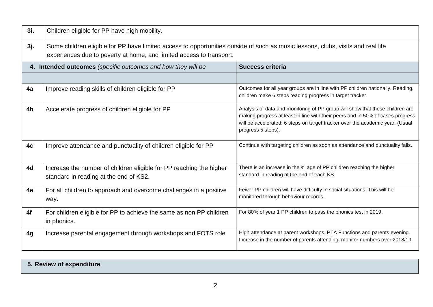| 3i.            | Children eligible for PP have high mobility.                                                                                                                                                             |                                                                                                                                                                                                                                                                        |  |  |  |  |
|----------------|----------------------------------------------------------------------------------------------------------------------------------------------------------------------------------------------------------|------------------------------------------------------------------------------------------------------------------------------------------------------------------------------------------------------------------------------------------------------------------------|--|--|--|--|
| 3j.            | Some children eligible for PP have limited access to opportunities outside of such as music lessons, clubs, visits and real life<br>experiences due to poverty at home, and limited access to transport. |                                                                                                                                                                                                                                                                        |  |  |  |  |
|                | 4. Intended outcomes (specific outcomes and how they will be                                                                                                                                             | <b>Success criteria</b>                                                                                                                                                                                                                                                |  |  |  |  |
|                |                                                                                                                                                                                                          |                                                                                                                                                                                                                                                                        |  |  |  |  |
| 4a             | Improve reading skills of children eligible for PP                                                                                                                                                       | Outcomes for all year groups are in line with PP children nationally. Reading,<br>children make 6 steps reading progress in target tracker.                                                                                                                            |  |  |  |  |
| 4 <sub>b</sub> | Accelerate progress of children eligible for PP                                                                                                                                                          | Analysis of data and monitoring of PP group will show that these children are<br>making progress at least in line with their peers and in 50% of cases progress<br>will be accelerated: 6 steps on target tracker over the academic year. (Usual<br>progress 5 steps). |  |  |  |  |
| 4c             | Improve attendance and punctuality of children eligible for PP                                                                                                                                           | Continue with targeting children as soon as attendance and punctuality falls.                                                                                                                                                                                          |  |  |  |  |
| 4d             | Increase the number of children eligible for PP reaching the higher<br>standard in reading at the end of KS2.                                                                                            | There is an increase in the % age of PP children reaching the higher<br>standard in reading at the end of each KS.                                                                                                                                                     |  |  |  |  |
| 4e             | For all children to approach and overcome challenges in a positive<br>way.                                                                                                                               | Fewer PP children will have difficulty in social situations; This will be<br>monitored through behaviour records.                                                                                                                                                      |  |  |  |  |
| 4f             | For children eligible for PP to achieve the same as non PP children<br>in phonics.                                                                                                                       | For 80% of year 1 PP children to pass the phonics test in 2019.                                                                                                                                                                                                        |  |  |  |  |
| 4g             | Increase parental engagement through workshops and FOTS role                                                                                                                                             | High attendance at parent workshops, PTA Functions and parents evening.<br>Increase in the number of parents attending; monitor numbers over 2018/19.                                                                                                                  |  |  |  |  |

## **5. Review of expenditure**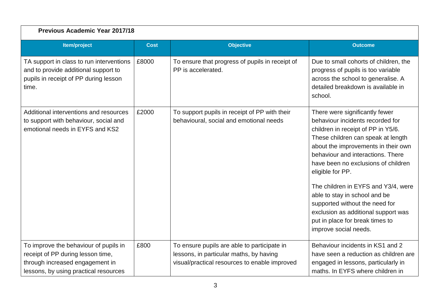| <b>Previous Academic Year 2017/18</b>                                                                                                                  |             |                                                                                                                                         |                                                                                                                                                                                                                                                                                                                                                                                                                                                                                                    |  |  |  |
|--------------------------------------------------------------------------------------------------------------------------------------------------------|-------------|-----------------------------------------------------------------------------------------------------------------------------------------|----------------------------------------------------------------------------------------------------------------------------------------------------------------------------------------------------------------------------------------------------------------------------------------------------------------------------------------------------------------------------------------------------------------------------------------------------------------------------------------------------|--|--|--|
| <b>Item/project</b>                                                                                                                                    | <b>Cost</b> | <b>Objective</b>                                                                                                                        | <b>Outcome</b>                                                                                                                                                                                                                                                                                                                                                                                                                                                                                     |  |  |  |
| TA support in class to run interventions<br>and to provide additional support to<br>pupils in receipt of PP during lesson<br>time.                     | £8000       | To ensure that progress of pupils in receipt of<br>PP is accelerated.                                                                   | Due to small cohorts of children, the<br>progress of pupils is too variable<br>across the school to generalise. A<br>detailed breakdown is available in<br>school.                                                                                                                                                                                                                                                                                                                                 |  |  |  |
| Additional interventions and resources<br>to support with behaviour, social and<br>emotional needs in EYFS and KS2                                     | £2000       | To support pupils in receipt of PP with their<br>behavioural, social and emotional needs                                                | There were significantly fewer<br>behaviour incidents recorded for<br>children in receipt of PP in Y5/6.<br>These children can speak at length<br>about the improvements in their own<br>behaviour and interactions. There<br>have been no exclusions of children<br>eligible for PP.<br>The children in EYFS and Y3/4, were<br>able to stay in school and be<br>supported without the need for<br>exclusion as additional support was<br>put in place for break times to<br>improve social needs. |  |  |  |
| To improve the behaviour of pupils in<br>receipt of PP during lesson time,<br>through increased engagement in<br>lessons, by using practical resources | £800        | To ensure pupils are able to participate in<br>lessons, in particular maths, by having<br>visual/practical resources to enable improved | Behaviour incidents in KS1 and 2<br>have seen a reduction as children are<br>engaged in lessons, particularly in<br>maths. In EYFS where children in                                                                                                                                                                                                                                                                                                                                               |  |  |  |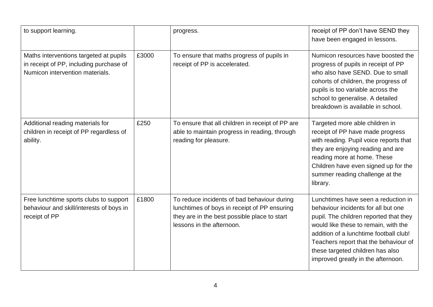| to support learning.                                                                                                 |       | progress.                                                                                                                                                                | receipt of PP don't have SEND they<br>have been engaged in lessons.                                                                                                                                                                                                                                                       |
|----------------------------------------------------------------------------------------------------------------------|-------|--------------------------------------------------------------------------------------------------------------------------------------------------------------------------|---------------------------------------------------------------------------------------------------------------------------------------------------------------------------------------------------------------------------------------------------------------------------------------------------------------------------|
| Maths interventions targeted at pupils<br>in receipt of PP, including purchase of<br>Numicon intervention materials. | £3000 | To ensure that maths progress of pupils in<br>receipt of PP is accelerated.                                                                                              | Numicon resources have boosted the<br>progress of pupils in receipt of PP<br>who also have SEND. Due to small<br>cohorts of children, the progress of<br>pupils is too variable across the<br>school to generalise. A detailed<br>breakdown is available in school.                                                       |
| Additional reading materials for<br>children in receipt of PP regardless of<br>ability.                              | £250  | To ensure that all children in receipt of PP are<br>able to maintain progress in reading, through<br>reading for pleasure.                                               | Targeted more able children in<br>receipt of PP have made progress<br>with reading. Pupil voice reports that<br>they are enjoying reading and are<br>reading more at home. These<br>Children have even signed up for the<br>summer reading challenge at the<br>library.                                                   |
| Free lunchtime sports clubs to support<br>behaviour and skill/interests of boys in<br>receipt of PP                  | £1800 | To reduce incidents of bad behaviour during<br>lunchtimes of boys in receipt of PP ensuring<br>they are in the best possible place to start<br>lessons in the afternoon. | Lunchtimes have seen a reduction in<br>behaviour incidents for all but one<br>pupil. The children reported that they<br>would like these to remain, with the<br>addition of a lunchtime football club!<br>Teachers report that the behaviour of<br>these targeted children has also<br>improved greatly in the afternoon. |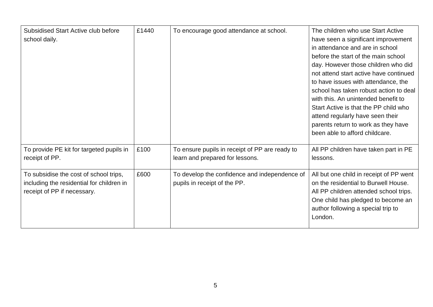| Subsidised Start Active club before<br>school daily.                                                               | £1440 | To encourage good attendance at school.                                           | The children who use Start Active<br>have seen a significant improvement<br>in attendance and are in school<br>before the start of the main school<br>day. However those children who did<br>not attend start active have continued<br>to have issues with attendance, the<br>school has taken robust action to deal<br>with this. An unintended benefit to<br>Start Active is that the PP child who<br>attend regularly have seen their<br>parents return to work as they have<br>been able to afford childcare. |
|--------------------------------------------------------------------------------------------------------------------|-------|-----------------------------------------------------------------------------------|-------------------------------------------------------------------------------------------------------------------------------------------------------------------------------------------------------------------------------------------------------------------------------------------------------------------------------------------------------------------------------------------------------------------------------------------------------------------------------------------------------------------|
| To provide PE kit for targeted pupils in<br>receipt of PP.                                                         | £100  | To ensure pupils in receipt of PP are ready to<br>learn and prepared for lessons. | All PP children have taken part in PE<br>lessons.                                                                                                                                                                                                                                                                                                                                                                                                                                                                 |
| To subsidise the cost of school trips,<br>including the residential for children in<br>receipt of PP if necessary. | £600  | To develop the confidence and independence of<br>pupils in receipt of the PP.     | All but one child in receipt of PP went<br>on the residential to Burwell House.<br>All PP children attended school trips.<br>One child has pledged to become an<br>author following a special trip to<br>London.                                                                                                                                                                                                                                                                                                  |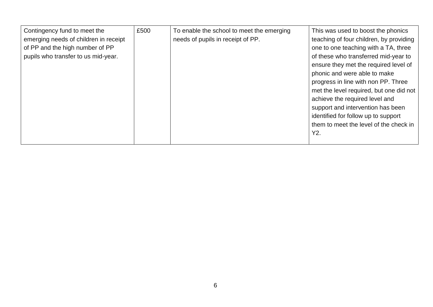| Contingency fund to meet the<br>emerging needs of children in receipt<br>of PP and the high number of PP<br>pupils who transfer to us mid-year. | £500 | To enable the school to meet the emerging<br>needs of pupils in receipt of PP. | This was used to boost the phonics<br>teaching of four children, by providing<br>one to one teaching with a TA, three<br>of these who transferred mid-year to<br>ensure they met the required level of<br>phonic and were able to make<br>progress in line with non PP. Three<br>met the level required, but one did not<br>achieve the required level and<br>support and intervention has been<br>identified for follow up to support |
|-------------------------------------------------------------------------------------------------------------------------------------------------|------|--------------------------------------------------------------------------------|----------------------------------------------------------------------------------------------------------------------------------------------------------------------------------------------------------------------------------------------------------------------------------------------------------------------------------------------------------------------------------------------------------------------------------------|
|                                                                                                                                                 |      |                                                                                | them to meet the level of the check in<br>Y2.                                                                                                                                                                                                                                                                                                                                                                                          |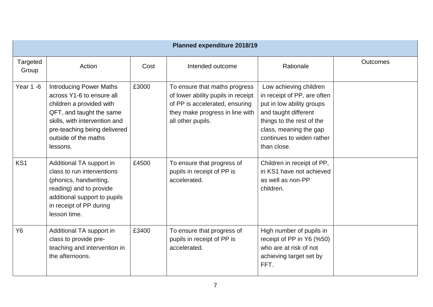| <b>Planned expenditure 2018/19</b> |                                                                                                                                                                                                                          |       |                                                                                                                                                               |                                                                                                                                                                                                               |          |  |
|------------------------------------|--------------------------------------------------------------------------------------------------------------------------------------------------------------------------------------------------------------------------|-------|---------------------------------------------------------------------------------------------------------------------------------------------------------------|---------------------------------------------------------------------------------------------------------------------------------------------------------------------------------------------------------------|----------|--|
| Targeted<br>Group                  | Action                                                                                                                                                                                                                   | Cost  | Intended outcome                                                                                                                                              | Rationale                                                                                                                                                                                                     | Outcomes |  |
| Year 1 -6                          | <b>Introducing Power Maths</b><br>across Y1-6 to ensure all<br>children a provided with<br>QFT, and taught the same<br>skills, with intervention and<br>pre-teaching being delivered<br>outside of the maths<br>lessons. | £3000 | To ensure that maths progress<br>of lower ability pupils in receipt<br>of PP is accelerated, ensuring<br>they make progress in line with<br>all other pupils. | Low achieving children<br>in receipt of PP, are often<br>put in low ability groups<br>and taught different<br>things to the rest of the<br>class, meaning the gap<br>continues to widen rather<br>than close. |          |  |
| KS <sub>1</sub>                    | Additional TA support in<br>class to run interventions<br>(phonics, handwriting,<br>reading) and to provide<br>additional support to pupils<br>in receipt of PP during<br>lesson time.                                   | £4500 | To ensure that progress of<br>pupils in receipt of PP is<br>accelerated.                                                                                      | Children in receipt of PP,<br>in KS1 have not achieved<br>as well as non-PP<br>children.                                                                                                                      |          |  |
| <b>Y6</b>                          | Additional TA support in<br>class to provide pre-<br>teaching and intervention in<br>the afternoons.                                                                                                                     | £3400 | To ensure that progress of<br>pupils in receipt of PP is<br>accelerated.                                                                                      | High number of pupils in<br>receipt of PP in Y6 (%50)<br>who are at risk of not<br>achieving target set by<br>FFT.                                                                                            |          |  |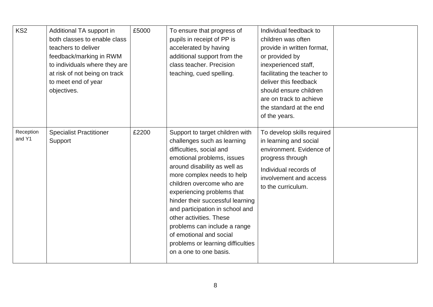| KS <sub>2</sub>     | Additional TA support in<br>both classes to enable class<br>teachers to deliver<br>feedback/marking in RWM<br>to individuals where they are<br>at risk of not being on track<br>to meet end of year<br>objectives. | £5000 | To ensure that progress of<br>pupils in receipt of PP is<br>accelerated by having<br>additional support from the<br>class teacher. Precision<br>teaching, cued spelling.                                                                                                                                                                                                                                                                                                      | Individual feedback to<br>children was often<br>provide in written format,<br>or provided by<br>inexperienced staff,<br>facilitating the teacher to<br>deliver this feedback<br>should ensure children<br>are on track to achieve<br>the standard at the end<br>of the years. |  |
|---------------------|--------------------------------------------------------------------------------------------------------------------------------------------------------------------------------------------------------------------|-------|-------------------------------------------------------------------------------------------------------------------------------------------------------------------------------------------------------------------------------------------------------------------------------------------------------------------------------------------------------------------------------------------------------------------------------------------------------------------------------|-------------------------------------------------------------------------------------------------------------------------------------------------------------------------------------------------------------------------------------------------------------------------------|--|
| Reception<br>and Y1 | <b>Specialist Practitioner</b><br>Support                                                                                                                                                                          | £2200 | Support to target children with<br>challenges such as learning<br>difficulties, social and<br>emotional problems, issues<br>around disability as well as<br>more complex needs to help<br>children overcome who are<br>experiencing problems that<br>hinder their successful learning<br>and participation in school and<br>other activities. These<br>problems can include a range<br>of emotional and social<br>problems or learning difficulties<br>on a one to one basis. | To develop skills required<br>in learning and social<br>environment. Evidence of<br>progress through<br>Individual records of<br>involvement and access<br>to the curriculum.                                                                                                 |  |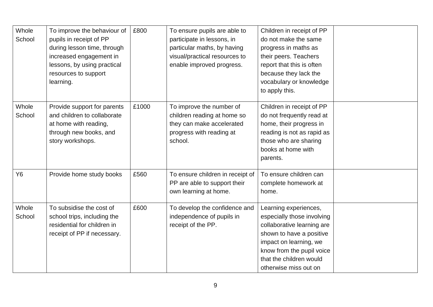| Whole<br>School | To improve the behaviour of<br>pupils in receipt of PP<br>during lesson time, through<br>increased engagement in<br>lessons, by using practical<br>resources to support<br>learning. | £800  | To ensure pupils are able to<br>participate in lessons, in<br>particular maths, by having<br>visual/practical resources to<br>enable improved progress. | Children in receipt of PP<br>do not make the same<br>progress in maths as<br>their peers. Teachers<br>report that this is often<br>because they lack the<br>vocabulary or knowledge<br>to apply this.                    |  |
|-----------------|--------------------------------------------------------------------------------------------------------------------------------------------------------------------------------------|-------|---------------------------------------------------------------------------------------------------------------------------------------------------------|--------------------------------------------------------------------------------------------------------------------------------------------------------------------------------------------------------------------------|--|
| Whole<br>School | Provide support for parents<br>and children to collaborate<br>at home with reading,<br>through new books, and<br>story workshops.                                                    | £1000 | To improve the number of<br>children reading at home so<br>they can make accelerated<br>progress with reading at<br>school.                             | Children in receipt of PP<br>do not frequently read at<br>home, their progress in<br>reading is not as rapid as<br>those who are sharing<br>books at home with<br>parents.                                               |  |
| <b>Y6</b>       | Provide home study books                                                                                                                                                             | £560  | To ensure children in receipt of<br>PP are able to support their<br>own learning at home.                                                               | To ensure children can<br>complete homework at<br>home.                                                                                                                                                                  |  |
| Whole<br>School | To subsidise the cost of<br>school trips, including the<br>residential for children in<br>receipt of PP if necessary.                                                                | £600  | To develop the confidence and<br>independence of pupils in<br>receipt of the PP.                                                                        | Learning experiences,<br>especially those involving<br>collaborative learning are<br>shown to have a positive<br>impact on learning, we<br>know from the pupil voice<br>that the children would<br>otherwise miss out on |  |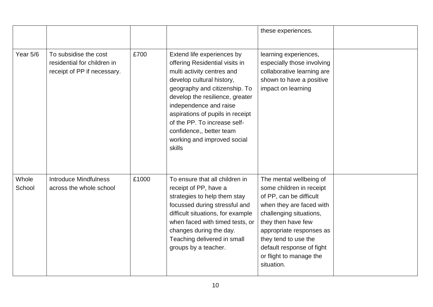|                 |                                                                                     |       |                                                                                                                                                                                                                                                                                                                                                                | these experiences.                                                                                                                                                                                                                                                                    |  |
|-----------------|-------------------------------------------------------------------------------------|-------|----------------------------------------------------------------------------------------------------------------------------------------------------------------------------------------------------------------------------------------------------------------------------------------------------------------------------------------------------------------|---------------------------------------------------------------------------------------------------------------------------------------------------------------------------------------------------------------------------------------------------------------------------------------|--|
| Year 5/6        | To subsidise the cost<br>residential for children in<br>receipt of PP if necessary. | £700  | Extend life experiences by<br>offering Residential visits in<br>multi activity centres and<br>develop cultural history,<br>geography and citizenship. To<br>develop the resilience, greater<br>independence and raise<br>aspirations of pupils in receipt<br>of the PP. To increase self-<br>confidence,, better team<br>working and improved social<br>skills | learning experiences,<br>especially those involving<br>collaborative learning are<br>shown to have a positive<br>impact on learning                                                                                                                                                   |  |
| Whole<br>School | <b>Introduce Mindfulness</b><br>across the whole school                             | £1000 | To ensure that all children in<br>receipt of PP, have a<br>strategies to help them stay<br>focussed during stressful and<br>difficult situations, for example<br>when faced with timed tests, or<br>changes during the day.<br>Teaching delivered in small<br>groups by a teacher.                                                                             | The mental wellbeing of<br>some children in receipt<br>of PP, can be difficult<br>when they are faced with<br>challenging situations,<br>they then have few<br>appropriate responses as<br>they tend to use the<br>default response of fight<br>or flight to manage the<br>situation. |  |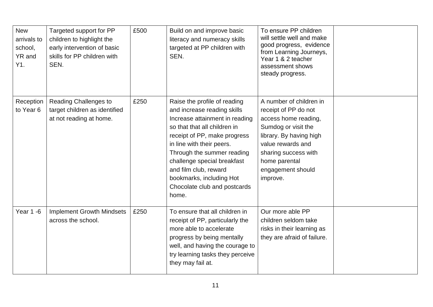| <b>New</b><br>arrivals to<br>school,<br>YR and<br>Y1. | Targeted support for PP<br>children to highlight the<br>early intervention of basic<br>skills for PP children with<br>SEN. | £500 | Build on and improve basic<br>literacy and numeracy skills<br>targeted at PP children with<br>SEN.                                                                                                                                                                                                                                                    | To ensure PP children<br>will settle well and make<br>good progress, evidence<br>from Learning Journeys,<br>Year 1 & 2 teacher<br>assessment shows<br>steady progress.                                                   |  |
|-------------------------------------------------------|----------------------------------------------------------------------------------------------------------------------------|------|-------------------------------------------------------------------------------------------------------------------------------------------------------------------------------------------------------------------------------------------------------------------------------------------------------------------------------------------------------|--------------------------------------------------------------------------------------------------------------------------------------------------------------------------------------------------------------------------|--|
| Reception<br>to Year 6                                | <b>Reading Challenges to</b><br>target children as identified<br>at not reading at home.                                   | £250 | Raise the profile of reading<br>and increase reading skills<br>Increase attainment in reading<br>so that that all children in<br>receipt of PP, make progress<br>in line with their peers.<br>Through the summer reading<br>challenge special breakfast<br>and film club, reward<br>bookmarks, including Hot<br>Chocolate club and postcards<br>home. | A number of children in<br>receipt of PP do not<br>access home reading,<br>Sumdog or visit the<br>library. By having high<br>value rewards and<br>sharing success with<br>home parental<br>engagement should<br>improve. |  |
| <b>Year 1 -6</b>                                      | <b>Implement Growth Mindsets</b><br>across the school.                                                                     | £250 | To ensure that all children in<br>receipt of PP, particularly the<br>more able to accelerate<br>progress by being mentally<br>well, and having the courage to<br>try learning tasks they perceive<br>they may fail at.                                                                                                                                | Our more able PP<br>children seldom take<br>risks in their learning as<br>they are afraid of failure.                                                                                                                    |  |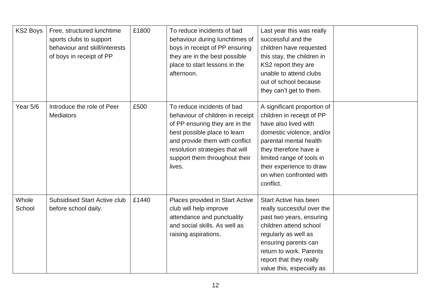| <b>KS2 Boys</b> | Free, structured lunchtime<br>sports clubs to support<br>behaviour and skill/interests<br>of boys in receipt of PP | £1800 | To reduce incidents of bad<br>behaviour during lunchtimes of<br>boys in receipt of PP ensuring<br>they are in the best possible<br>place to start lessons in the<br>afternoon.                                                                   | Last year this was really<br>successful and the<br>children have requested<br>this stay, the children in<br>KS2 report they are<br>unable to attend clubs<br>out of school because<br>they can't get to them.                                                     |  |
|-----------------|--------------------------------------------------------------------------------------------------------------------|-------|--------------------------------------------------------------------------------------------------------------------------------------------------------------------------------------------------------------------------------------------------|-------------------------------------------------------------------------------------------------------------------------------------------------------------------------------------------------------------------------------------------------------------------|--|
| Year 5/6        | Introduce the role of Peer<br><b>Mediators</b>                                                                     | £500  | To reduce incidents of bad<br>behaviour of children in receipt<br>of PP ensuring they are in the<br>best possible place to learn<br>and provide them with conflict<br>resolution strategies that will<br>support them throughout their<br>lives. | A significant proportion of<br>children in receipt of PP<br>have also lived with<br>domestic violence, and/or<br>parental mental health<br>they therefore have a<br>limited range of tools in<br>their experience to draw<br>on when confronted with<br>conflict. |  |
| Whole<br>School | <b>Subsidised Start Active club</b><br>before school daily.                                                        | £1440 | Places provided in Start Active<br>club will help improve<br>attendance and punctuality<br>and social skills. As well as<br>raising aspirations.                                                                                                 | <b>Start Active has been</b><br>really successful over the<br>past two years, ensuring<br>children attend school<br>regularly as well as<br>ensuring parents can<br>return to work. Parents<br>report that they really<br>value this, especially as               |  |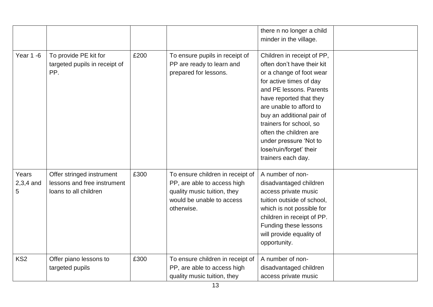|                           |                                                                                   |      |                                                                                                                                           | there n no longer a child<br>minder in the village.                                                                                                                                                                                                                                                                                                           |  |
|---------------------------|-----------------------------------------------------------------------------------|------|-------------------------------------------------------------------------------------------------------------------------------------------|---------------------------------------------------------------------------------------------------------------------------------------------------------------------------------------------------------------------------------------------------------------------------------------------------------------------------------------------------------------|--|
| <b>Year 1 -6</b>          | To provide PE kit for<br>targeted pupils in receipt of<br>PP.                     | £200 | To ensure pupils in receipt of<br>PP are ready to learn and<br>prepared for lessons.                                                      | Children in receipt of PP,<br>often don't have their kit<br>or a change of foot wear<br>for active times of day<br>and PE lessons. Parents<br>have reported that they<br>are unable to afford to<br>buy an additional pair of<br>trainers for school, so<br>often the children are<br>under pressure 'Not to<br>lose/ruin/forget' their<br>trainers each day. |  |
| Years<br>$2,3,4$ and<br>5 | Offer stringed instrument<br>lessons and free instrument<br>loans to all children | £300 | To ensure children in receipt of<br>PP, are able to access high<br>quality music tuition, they<br>would be unable to access<br>otherwise. | A number of non-<br>disadvantaged children<br>access private music<br>tuition outside of school,<br>which is not possible for<br>children in receipt of PP.<br>Funding these lessons<br>will provide equality of<br>opportunity.                                                                                                                              |  |
| KS <sub>2</sub>           | Offer piano lessons to<br>targeted pupils                                         | £300 | To ensure children in receipt of<br>PP, are able to access high<br>quality music tuition, they                                            | A number of non-<br>disadvantaged children<br>access private music                                                                                                                                                                                                                                                                                            |  |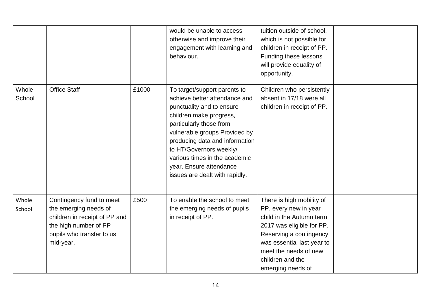|                 |                                                                                                                                                       |       | would be unable to access<br>otherwise and improve their<br>engagement with learning and<br>behaviour.                                                                                                                                                                                                                                       | tuition outside of school,<br>which is not possible for<br>children in receipt of PP.<br>Funding these lessons<br>will provide equality of<br>opportunity.                                                                             |  |
|-----------------|-------------------------------------------------------------------------------------------------------------------------------------------------------|-------|----------------------------------------------------------------------------------------------------------------------------------------------------------------------------------------------------------------------------------------------------------------------------------------------------------------------------------------------|----------------------------------------------------------------------------------------------------------------------------------------------------------------------------------------------------------------------------------------|--|
| Whole<br>School | <b>Office Staff</b>                                                                                                                                   | £1000 | To target/support parents to<br>achieve better attendance and<br>punctuality and to ensure<br>children make progress,<br>particularly those from<br>vulnerable groups Provided by<br>producing data and information<br>to HT/Governors weekly/<br>various times in the academic<br>year. Ensure attendance<br>issues are dealt with rapidly. | Children who persistently<br>absent in 17/18 were all<br>children in receipt of PP.                                                                                                                                                    |  |
| Whole<br>School | Contingency fund to meet<br>the emerging needs of<br>children in receipt of PP and<br>the high number of PP<br>pupils who transfer to us<br>mid-year. | £500  | To enable the school to meet<br>the emerging needs of pupils<br>in receipt of PP.                                                                                                                                                                                                                                                            | There is high mobility of<br>PP, every new in year<br>child in the Autumn term<br>2017 was eligible for PP.<br>Reserving a contingency<br>was essential last year to<br>meet the needs of new<br>children and the<br>emerging needs of |  |